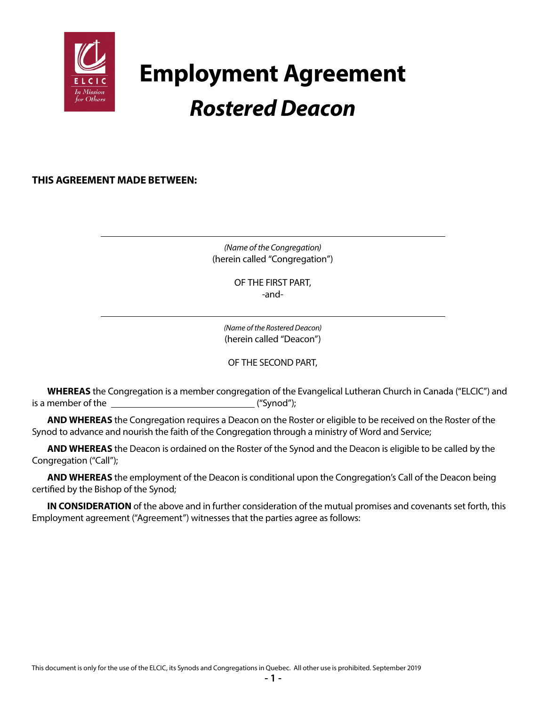

# **Employment Agreement** *Rostered Deacon*

**THIS AGREEMENT MADE BETWEEN:**

*(Name of the Congregation)* (herein called "Congregation")

> OF THE FIRST PART, -and-

*(Name of the Rostered Deacon)* (herein called "Deacon")

OF THE SECOND PART,

**WHEREAS** the Congregation is a member congregation of the Evangelical Lutheran Church in Canada ("ELCIC") and is a member of the  $\qquad \qquad$  ("Synod");

**AND WHEREAS** the Congregation requires a Deacon on the Roster or eligible to be received on the Roster of the Synod to advance and nourish the faith of the Congregation through a ministry of Word and Service;

**AND WHEREAS** the Deacon is ordained on the Roster of the Synod and the Deacon is eligible to be called by the Congregation ("Call");

**AND WHEREAS** the employment of the Deacon is conditional upon the Congregation's Call of the Deacon being certified by the Bishop of the Synod;

**IN CONSIDERATION** of the above and in further consideration of the mutual promises and covenants set forth, this Employment agreement ("Agreement") witnesses that the parties agree as follows: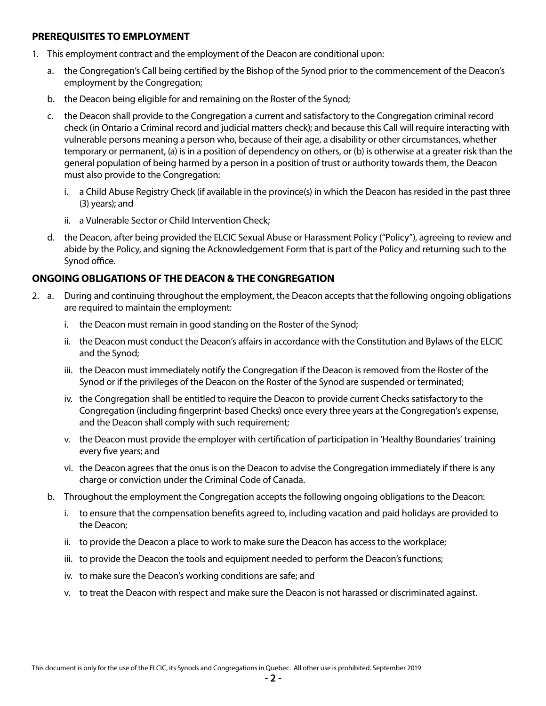#### **PREREQUISITES TO EMPLOYMENT**

- 1. This employment contract and the employment of the Deacon are conditional upon:
	- a. the Congregation's Call being certified by the Bishop of the Synod prior to the commencement of the Deacon's employment by the Congregation;
	- b. the Deacon being eligible for and remaining on the Roster of the Synod;
	- c. the Deacon shall provide to the Congregation a current and satisfactory to the Congregation criminal record check (in Ontario a Criminal record and judicial matters check); and because this Call will require interacting with vulnerable persons meaning a person who, because of their age, a disability or other circumstances, whether temporary or permanent, (a) is in a position of dependency on others, or (b) is otherwise at a greater risk than the general population of being harmed by a person in a position of trust or authority towards them, the Deacon must also provide to the Congregation:
		- i. a Child Abuse Registry Check (if available in the province(s) in which the Deacon has resided in the past three (3) years); and
		- ii. a Vulnerable Sector or Child Intervention Check;
	- d. the Deacon, after being provided the ELCIC Sexual Abuse or Harassment Policy ("Policy"), agreeing to review and abide by the Policy, and signing the Acknowledgement Form that is part of the Policy and returning such to the Synod office.

# **ONGOING OBLIGATIONS OF THE DEACON & THE CONGREGATION**

- 2. a. During and continuing throughout the employment, the Deacon accepts that the following ongoing obligations are required to maintain the employment:
	- i. the Deacon must remain in good standing on the Roster of the Synod;
	- ii. the Deacon must conduct the Deacon's affairs in accordance with the Constitution and Bylaws of the ELCIC and the Synod;
	- iii. the Deacon must immediately notify the Congregation if the Deacon is removed from the Roster of the Synod or if the privileges of the Deacon on the Roster of the Synod are suspended or terminated;
	- iv. the Congregation shall be entitled to require the Deacon to provide current Checks satisfactory to the Congregation (including fingerprint-based Checks) once every three years at the Congregation's expense, and the Deacon shall comply with such requirement;
	- v. the Deacon must provide the employer with certification of participation in 'Healthy Boundaries' training every five years; and
	- vi. the Deacon agrees that the onus is on the Deacon to advise the Congregation immediately if there is any charge or conviction under the Criminal Code of Canada.
	- b. Throughout the employment the Congregation accepts the following ongoing obligations to the Deacon:
		- i. to ensure that the compensation benefits agreed to, including vacation and paid holidays are provided to the Deacon;
		- ii. to provide the Deacon a place to work to make sure the Deacon has access to the workplace;
		- iii. to provide the Deacon the tools and equipment needed to perform the Deacon's functions;
		- iv. to make sure the Deacon's working conditions are safe; and
		- v. to treat the Deacon with respect and make sure the Deacon is not harassed or discriminated against.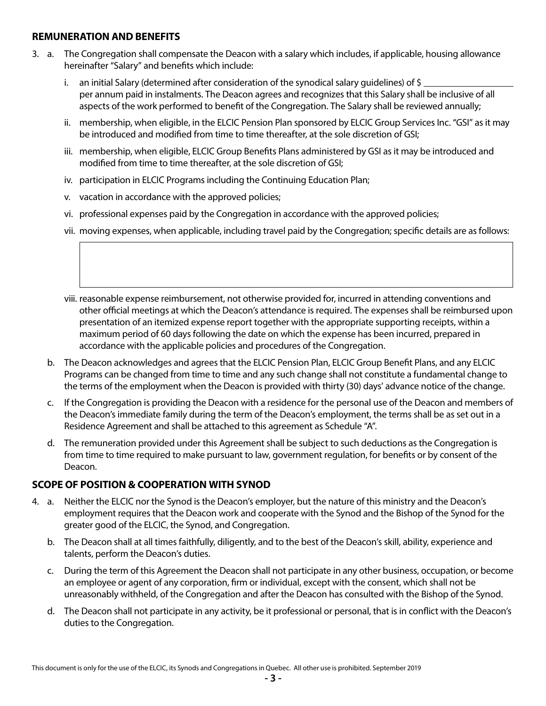#### **REMUNERATION AND BENEFITS**

- 3. a. The Congregation shall compensate the Deacon with a salary which includes, if applicable, housing allowance hereinafter "Salary" and benefits which include:
	- i. an initial Salary (determined after consideration of the synodical salary guidelines) of \$ per annum paid in instalments. The Deacon agrees and recognizes that this Salary shall be inclusive of all aspects of the work performed to benefit of the Congregation. The Salary shall be reviewed annually;
	- ii. membership, when eligible, in the ELCIC Pension Plan sponsored by ELCIC Group Services Inc. "GSI" as it may be introduced and modified from time to time thereafter, at the sole discretion of GSI;
	- iii. membership, when eligible, ELCIC Group Benefits Plans administered by GSI as it may be introduced and modified from time to time thereafter, at the sole discretion of GSI;
	- iv. participation in ELCIC Programs including the Continuing Education Plan;
	- v. vacation in accordance with the approved policies;
	- vi. professional expenses paid by the Congregation in accordance with the approved policies;
	- vii. moving expenses, when applicable, including travel paid by the Congregation; specific details are as follows:

 viii. reasonable expense reimbursement, not otherwise provided for, incurred in attending conventions and other official meetings at which the Deacon's attendance is required. The expenses shall be reimbursed upon presentation of an itemized expense report together with the appropriate supporting receipts, within a maximum period of 60 days following the date on which the expense has been incurred, prepared in accordance with the applicable policies and procedures of the Congregation.

- b. The Deacon acknowledges and agrees that the ELCIC Pension Plan, ELCIC Group Benefit Plans, and any ELCIC Programs can be changed from time to time and any such change shall not constitute a fundamental change to the terms of the employment when the Deacon is provided with thirty (30) days' advance notice of the change.
- c. If the Congregation is providing the Deacon with a residence for the personal use of the Deacon and members of the Deacon's immediate family during the term of the Deacon's employment, the terms shall be as set out in a Residence Agreement and shall be attached to this agreement as Schedule "A".
- d. The remuneration provided under this Agreement shall be subject to such deductions as the Congregation is from time to time required to make pursuant to law, government regulation, for benefits or by consent of the Deacon.

# **SCOPE OF POSITION & COOPERATION WITH SYNOD**

- 4. a. Neither the ELCIC nor the Synod is the Deacon's employer, but the nature of this ministry and the Deacon's employment requires that the Deacon work and cooperate with the Synod and the Bishop of the Synod for the greater good of the ELCIC, the Synod, and Congregation.
	- b. The Deacon shall at all times faithfully, diligently, and to the best of the Deacon's skill, ability, experience and talents, perform the Deacon's duties.
	- c. During the term of this Agreement the Deacon shall not participate in any other business, occupation, or become an employee or agent of any corporation, firm or individual, except with the consent, which shall not be unreasonably withheld, of the Congregation and after the Deacon has consulted with the Bishop of the Synod.
	- d. The Deacon shall not participate in any activity, be it professional or personal, that is in conflict with the Deacon's duties to the Congregation.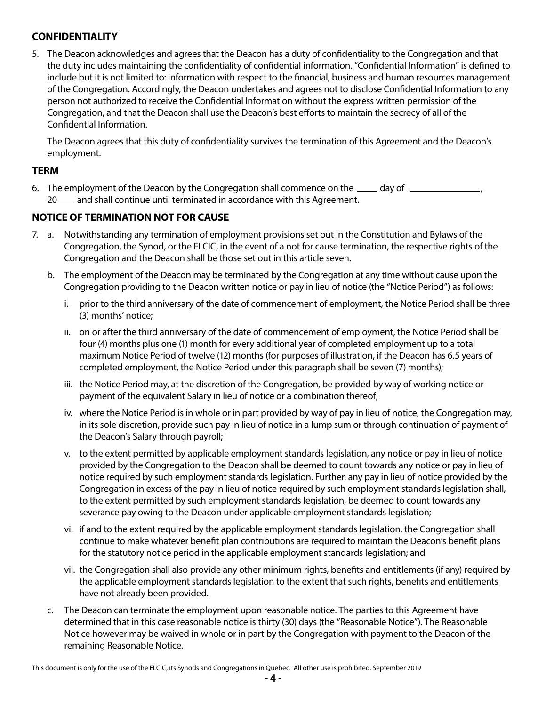# **CONFIDENTIALITY**

5. The Deacon acknowledges and agrees that the Deacon has a duty of confidentiality to the Congregation and that the duty includes maintaining the confidentiality of confidential information. "Confidential Information" is defined to include but it is not limited to: information with respect to the financial, business and human resources management of the Congregation. Accordingly, the Deacon undertakes and agrees not to disclose Confidential Information to any person not authorized to receive the Confidential Information without the express written permission of the Congregation, and that the Deacon shall use the Deacon's best efforts to maintain the secrecy of all of the Confidential Information.

The Deacon agrees that this duty of confidentiality survives the termination of this Agreement and the Deacon's employment.

#### **TERM**

6. The employment of the Deacon by the Congregation shall commence on the  $\_\_\_$  day of  $\_\_\_\_\_\_\_$ 20  $\mu$  and shall continue until terminated in accordance with this Agreement.

#### **NOTICE OF TERMINATION NOT FOR CAUSE**

- 7. a. Notwithstanding any termination of employment provisions set out in the Constitution and Bylaws of the Congregation, the Synod, or the ELCIC, in the event of a not for cause termination, the respective rights of the Congregation and the Deacon shall be those set out in this article seven.
	- b. The employment of the Deacon may be terminated by the Congregation at any time without cause upon the Congregation providing to the Deacon written notice or pay in lieu of notice (the "Notice Period") as follows:
		- i. prior to the third anniversary of the date of commencement of employment, the Notice Period shall be three (3) months' notice;
		- ii. on or after the third anniversary of the date of commencement of employment, the Notice Period shall be four (4) months plus one (1) month for every additional year of completed employment up to a total maximum Notice Period of twelve (12) months (for purposes of illustration, if the Deacon has 6.5 years of completed employment, the Notice Period under this paragraph shall be seven (7) months);
		- iii. the Notice Period may, at the discretion of the Congregation, be provided by way of working notice or payment of the equivalent Salary in lieu of notice or a combination thereof;
		- iv. where the Notice Period is in whole or in part provided by way of pay in lieu of notice, the Congregation may, in its sole discretion, provide such pay in lieu of notice in a lump sum or through continuation of payment of the Deacon's Salary through payroll;
		- v. to the extent permitted by applicable employment standards legislation, any notice or pay in lieu of notice provided by the Congregation to the Deacon shall be deemed to count towards any notice or pay in lieu of notice required by such employment standards legislation. Further, any pay in lieu of notice provided by the Congregation in excess of the pay in lieu of notice required by such employment standards legislation shall, to the extent permitted by such employment standards legislation, be deemed to count towards any severance pay owing to the Deacon under applicable employment standards legislation;
		- vi. if and to the extent required by the applicable employment standards legislation, the Congregation shall continue to make whatever benefit plan contributions are required to maintain the Deacon's benefit plans for the statutory notice period in the applicable employment standards legislation; and
		- vii. the Congregation shall also provide any other minimum rights, benefits and entitlements (if any) required by the applicable employment standards legislation to the extent that such rights, benefits and entitlements have not already been provided.
	- c. The Deacon can terminate the employment upon reasonable notice. The parties to this Agreement have determined that in this case reasonable notice is thirty (30) days (the "Reasonable Notice"). The Reasonable Notice however may be waived in whole or in part by the Congregation with payment to the Deacon of the remaining Reasonable Notice.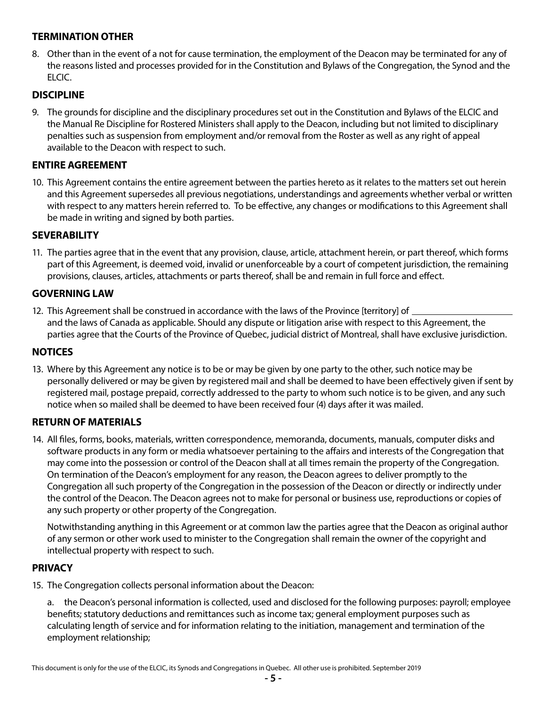# **TERMINATION OTHER**

8. Other than in the event of a not for cause termination, the employment of the Deacon may be terminated for any of the reasons listed and processes provided for in the Constitution and Bylaws of the Congregation, the Synod and the ELCIC.

# **DISCIPLINE**

9. The grounds for discipline and the disciplinary procedures set out in the Constitution and Bylaws of the ELCIC and the Manual Re Discipline for Rostered Ministers shall apply to the Deacon, including but not limited to disciplinary penalties such as suspension from employment and/or removal from the Roster as well as any right of appeal available to the Deacon with respect to such.

### **ENTIRE AGREEMENT**

10. This Agreement contains the entire agreement between the parties hereto as it relates to the matters set out herein and this Agreement supersedes all previous negotiations, understandings and agreements whether verbal or written with respect to any matters herein referred to. To be effective, any changes or modifications to this Agreement shall be made in writing and signed by both parties.

#### **SEVERABILITY**

11. The parties agree that in the event that any provision, clause, article, attachment herein, or part thereof, which forms part of this Agreement, is deemed void, invalid or unenforceable by a court of competent jurisdiction, the remaining provisions, clauses, articles, attachments or parts thereof, shall be and remain in full force and effect.

# **GOVERNING LAW**

12. This Agreement shall be construed in accordance with the laws of the Province [territory] of  $\equiv$ and the laws of Canada as applicable. Should any dispute or litigation arise with respect to this Agreement, the parties agree that the Courts of the Province of Quebec, judicial district of Montreal, shall have exclusive jurisdiction.

#### **NOTICES**

13. Where by this Agreement any notice is to be or may be given by one party to the other, such notice may be personally delivered or may be given by registered mail and shall be deemed to have been effectively given if sent by registered mail, postage prepaid, correctly addressed to the party to whom such notice is to be given, and any such notice when so mailed shall be deemed to have been received four (4) days after it was mailed.

#### **RETURN OF MATERIALS**

14. All files, forms, books, materials, written correspondence, memoranda, documents, manuals, computer disks and software products in any form or media whatsoever pertaining to the affairs and interests of the Congregation that may come into the possession or control of the Deacon shall at all times remain the property of the Congregation. On termination of the Deacon's employment for any reason, the Deacon agrees to deliver promptly to the Congregation all such property of the Congregation in the possession of the Deacon or directly or indirectly under the control of the Deacon. The Deacon agrees not to make for personal or business use, reproductions or copies of any such property or other property of the Congregation.

Notwithstanding anything in this Agreement or at common law the parties agree that the Deacon as original author of any sermon or other work used to minister to the Congregation shall remain the owner of the copyright and intellectual property with respect to such.

#### **PRIVACY**

15. The Congregation collects personal information about the Deacon:

a. the Deacon's personal information is collected, used and disclosed for the following purposes: payroll; employee benefits; statutory deductions and remittances such as income tax; general employment purposes such as calculating length of service and for information relating to the initiation, management and termination of the employment relationship;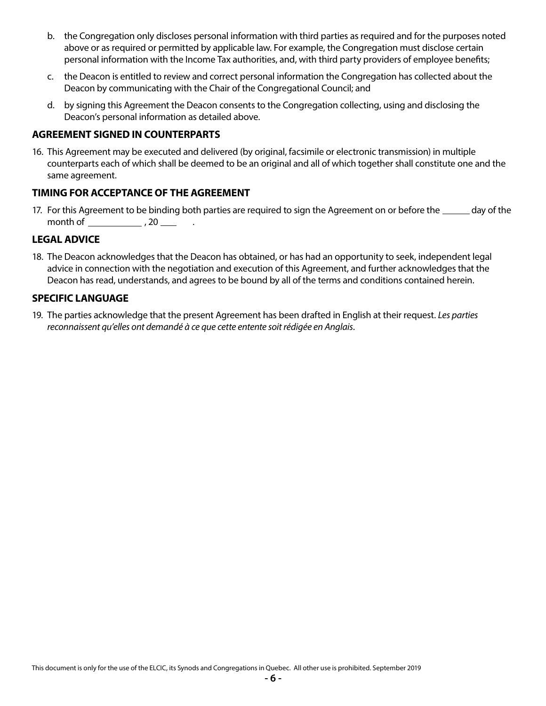- b. the Congregation only discloses personal information with third parties as required and for the purposes noted above or as required or permitted by applicable law. For example, the Congregation must disclose certain personal information with the Income Tax authorities, and, with third party providers of employee benefits;
- c. the Deacon is entitled to review and correct personal information the Congregation has collected about the Deacon by communicating with the Chair of the Congregational Council; and
- d. by signing this Agreement the Deacon consents to the Congregation collecting, using and disclosing the Deacon's personal information as detailed above.

### **AGREEMENT SIGNED IN COUNTERPARTS**

16. This Agreement may be executed and delivered (by original, facsimile or electronic transmission) in multiple counterparts each of which shall be deemed to be an original and all of which together shall constitute one and the same agreement.

#### **TIMING FOR ACCEPTANCE OF THE AGREEMENT**

17. For this Agreement to be binding both parties are required to sign the Agreement on or before the \_\_\_\_\_\_ day of the month of  $\frac{1}{2}$ , 20  $\frac{1}{2}$ 

#### **LEGAL ADVICE**

18. The Deacon acknowledges that the Deacon has obtained, or has had an opportunity to seek, independent legal advice in connection with the negotiation and execution of this Agreement, and further acknowledges that the Deacon has read, understands, and agrees to be bound by all of the terms and conditions contained herein.

#### **SPECIFIC LANGUAGE**

19. The parties acknowledge that the present Agreement has been drafted in English at their request. *Les parties reconnaissent qu'elles ont demandé à ce que cette entente soit rédigée en Anglais*.